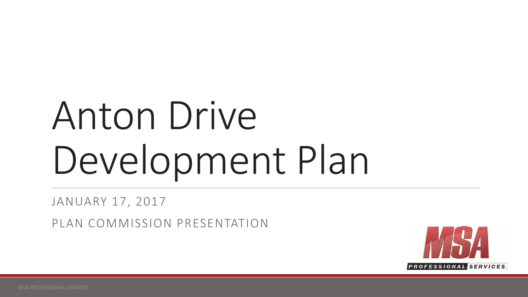# Anton Drive Development Plan

JANUARY 17, 2017

PLAN COMMISSION PRESENTATION

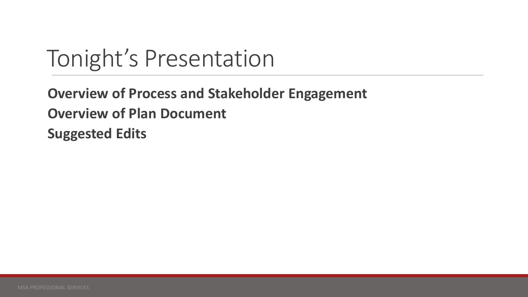### Tonight's Presentation

**Overview of Process and Stakeholder Engagement Overview of Plan Document Suggested Edits**

MSA PROFESSIONAL SERVICES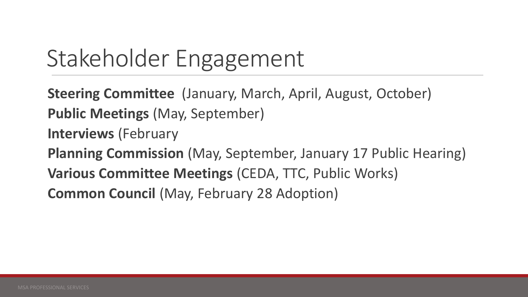# Stakeholder Engagement

**Steering Committee** (January, March, April, August, October) **Public Meetings** (May, September) **Interviews** (February **Planning Commission** (May, September, January 17 Public Hearing) **Various Committee Meetings** (CEDA, TTC, Public Works) **Common Council (May, February 28 Adoption)**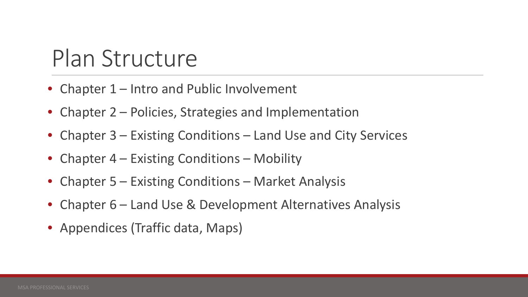### Plan Structure

- Chapter 1 Intro and Public Involvement
- Chapter 2 Policies, Strategies and Implementation
- Chapter 3 Existing Conditions Land Use and City Services
- Chapter 4 Existing Conditions Mobility
- Chapter 5 Existing Conditions Market Analysis
- Chapter 6 Land Use & Development Alternatives Analysis
- Appendices (Traffic data, Maps)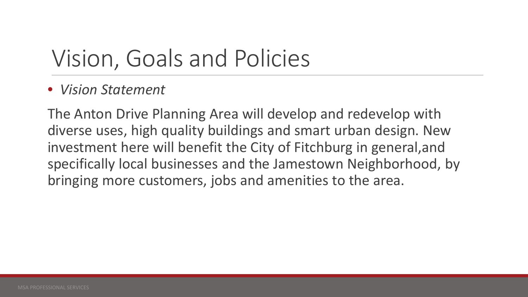### • *Vision Statement*

The Anton Drive Planning Area will develop and redevelop with diverse uses, high quality buildings and smart urban design. New investment here will benefit the City of Fitchburg in general,and specifically local businesses and the Jamestown Neighborhood, by bringing more customers, jobs and amenities to the area.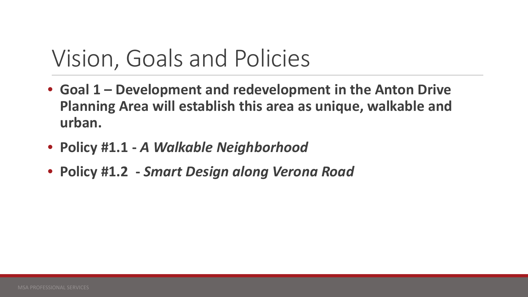- **Goal 1 – Development and redevelopment in the Anton Drive Planning Area will establish this area as unique, walkable and urban.**
- **Policy #1.1 -** *A Walkable Neighborhood*
- **Policy #1.2 -** *Smart Design along Verona Road*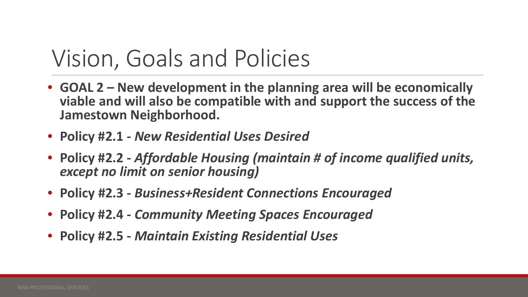- **GOAL 2 – New development in the planning area will be economically viable and will also be compatible with and support the success of the Jamestown Neighborhood.**
- **Policy #2.1 -** *New Residential Uses Desired*
- **Policy #2.2 -** *Affordable Housing (maintain # of income qualified units, except no limit on senior housing)*
- **Policy #2.3 -** *Business+Resident Connections Encouraged*
- **Policy #2.4 -** *Community Meeting Spaces Encouraged*
- **Policy #2.5 -** *Maintain Existing Residential Uses*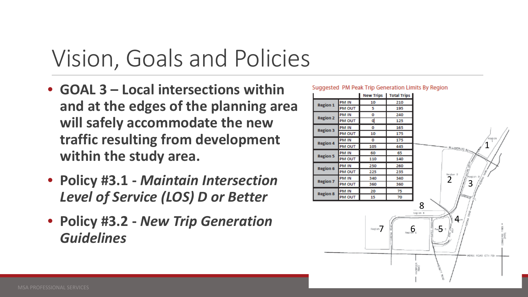- **GOAL 3 – Local intersections within and at the edges of the planning area will safely accommodate the new traffic resulting from development within the study area.**
- **Policy #3.1 -** *Maintain Intersection Level of Service (LOS) D or Better*
- **Policy #3.2 -** *New Trip Generation Guidelines*

#### Suggested PM Peak Trip Generation Limits By Region

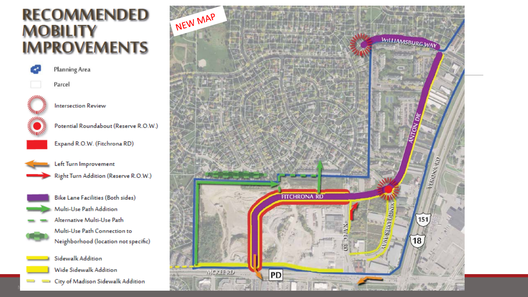### **RECOMMENDED MOBILITY IMPROVEMENTS**



Planning Area

**Intersection Review** 



Parcel



Potential Roundabout (Reserve R.O.W.)



Expand R.O.W. (Fitchrona RD)



Left Turn Improvement Right Turn Addition (Reserve R.O.W.)



 $\overline{\phantom{a}}$ 

**Bike Lane Facilities (Both sides)** Multi-Use Path Addition Alternative Multi-Use Path Multi-Use Path Connection to Neighborhood (location not specific)

Sidewalk Addition Wide Sidewalk Addition City of Madison Sidewalk Addition  $-1$ 

M<sub>S</sub>

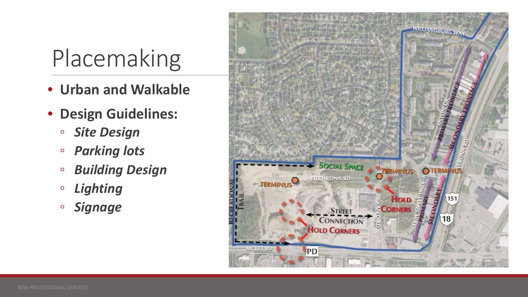### Placemaking

- **Urban and Walkable**
- **Design Guidelines:**
	- *Site Design*
	- *Parking lots*
	- *Building Design*
	- *Lighting*
	- *Signage*

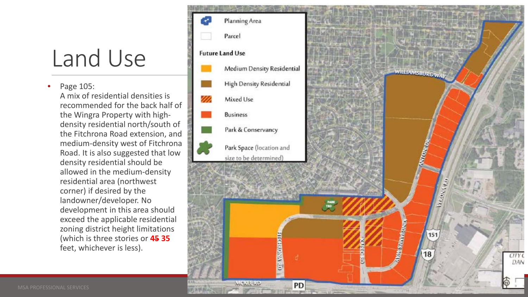### Land Use

• Page 105: A mix of residential densities is recommended for the back half of the Wingra Property with highdensity residential north/south of the Fitchrona Road extension, and medium-density west of Fitchrona Road. It is also suggested that low density residential should be allowed in the medium-density residential area (northwest corner) if desired by the landowner/developer. No development in this area should exceed the applicable residential zoning district height limitations (which is three stories or **45 35**  feet, whichever is less).

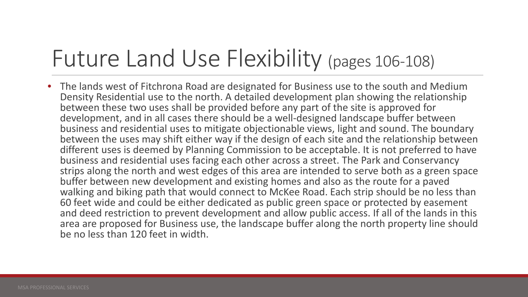### Future Land Use Flexibility (pages 106-108)

• The lands west of Fitchrona Road are designated for Business use to the south and Medium Density Residential use to the north. A detailed development plan showing the relationship between these two uses shall be provided before any part of the site is approved for development, and in all cases there should be a well-designed landscape buffer between business and residential uses to mitigate objectionable views, light and sound. The boundary between the uses may shift either way if the design of each site and the relationship between different uses is deemed by Planning Commission to be acceptable. It is not preferred to have business and residential uses facing each other across a street. The Park and Conservancy strips along the north and west edges of this area are intended to serve both as a green space buffer between new development and existing homes and also as the route for a paved walking and biking path that would connect to McKee Road. Each strip should be no less than 60 feet wide and could be either dedicated as public green space or protected by easement and deed restriction to prevent development and allow public access. If all of the lands in this area are proposed for Business use, the landscape buffer along the north property line should be no less than 120 feet in width.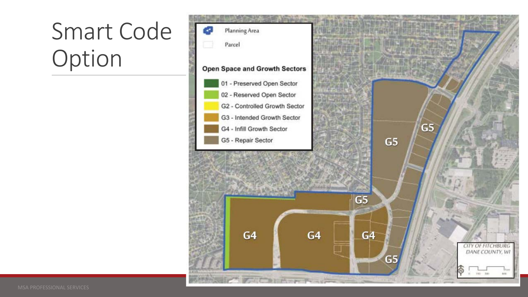# Smart Code Option

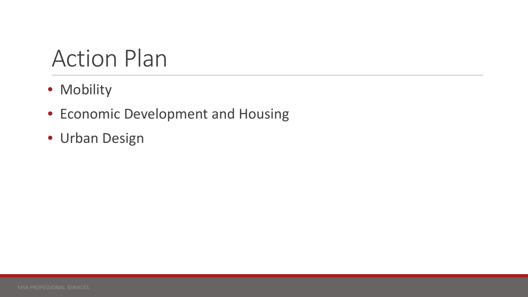### Action Plan

- Mobility
- Economic Development and Housing
- Urban Design